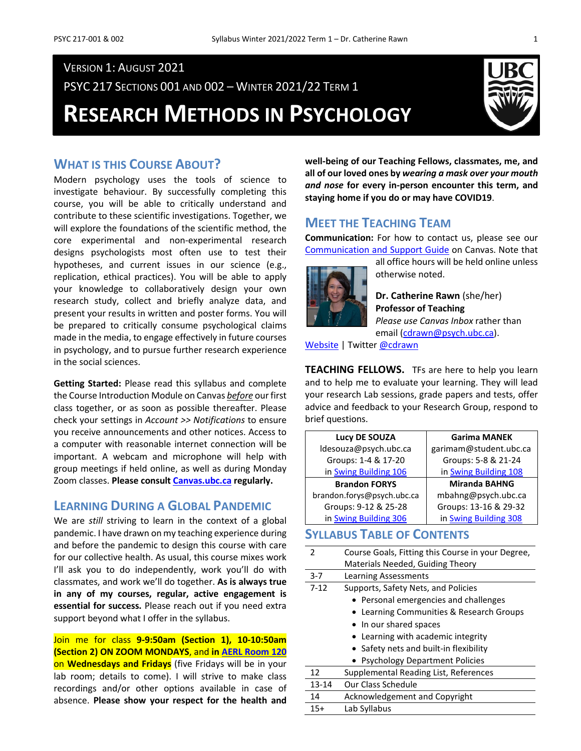PSYC 217 SECTIONS 001 AND 002 – WINTER 2021/22 TERM 1

**RESEARCH METHODS IN PSYCHOLOGY**



### **WHAT IS THIS COURSE ABOUT?**

Modern psychology uses the tools of science to investigate behaviour. By successfully completing this course, you will be able to critically understand and contribute to these scientific investigations. Together, we will explore the foundations of the scientific method, the core experimental and non-experimental research designs psychologists most often use to test their hypotheses, and current issues in our science (e.g., replication, ethical practices). You will be able to apply your knowledge to collaboratively design your own research study, collect and briefly analyze data, and present your results in written and poster forms. You will be prepared to critically consume psychological claims made in the media, to engage effectively in future courses in psychology, and to pursue further research experience in the social sciences.

**Getting Started:** Please read this syllabus and complete the Course Introduction Module on Canvas *before* our first class together, or as soon as possible thereafter. Please check your settings in *Account >> Notifications* to ensure you receive announcements and other notices. Access to a computer with reasonable internet connection will be important. A webcam and microphone will help with group meetings if held online, as well as during Monday Zoom classes. **Please consul[t Canvas.ubc.ca](https://canvas.ubc.ca/) regularly.**

### **LEARNING DURING A GLOBAL PANDEMIC**

We are *still* striving to learn in the context of a global pandemic. I have drawn on my teaching experience during and before the pandemic to design this course with care for our collective health. As usual, this course mixes work I'll ask you to do independently, work you'll do with classmates, and work we'll do together. **As is always true in any of my courses, regular, active engagement is essential for success.** Please reach out if you need extra support beyond what I offer in the syllabus.

Join me for class **9-9:50am (Section 1), 10-10:50am (Section 2) ON ZOOM MONDAYS**, and **i[n AERL Room 120](http://www.maps.ubc.ca/PROD/index_detail.php?locat1=316)** on **Wednesdays and Fridays** (five Fridays will be in your lab room; details to come). I will strive to make class recordings and/or other options available in case of absence. **Please show your respect for the health and**  **well-being of our Teaching Fellows, classmates, me, and all of our loved ones by** *wearing a mask over your mouth and nose* **for every in-person encounter this term, and staying home if you do or may have COVID19**.

### **MEET THE TEACHING TEAM**

**Communication:** For how to contact us, please see our [Communication and Support Guide](https://canvas.ubc.ca/courses/50937/pages/communication-and-support-guide) on Canvas. Note that



all office hours will be held online unless otherwise noted.

**Dr. Catherine Rawn** (she/her) **Professor of Teaching** *Please use Canvas Inbox* rather than

email [\(cdrawn@psych.ubc.ca\)](mailto:cdrawn@psych.ubc.ca).

[Website](http://blogs.ubc.ca/catherinerawn/) | Twitter [@cdrawn](https://twitter.com/cdrawn)

**TEACHING FELLOWS.** TFs are here to help you learn and to help me to evaluate your learning. They will lead your research Lab sessions, grade papers and tests, offer advice and feedback to your Research Group, respond to brief questions.

| Lucy DE SOUZA              | <b>Garima MANEK</b>    |
|----------------------------|------------------------|
| ldesouza@psych.ubc.ca      | garimam@student.ubc.ca |
| Groups: 1-4 & 17-20        | Groups: 5-8 & 21-24    |
| in Swing Building 106      | in Swing Building 108  |
| <b>Brandon FORYS</b>       | <b>Miranda BAHNG</b>   |
| brandon.forys@psych.ubc.ca | mbahng@psych.ubc.ca    |
| Groups: 9-12 & 25-28       | Groups: 13-16 & 29-32  |
| in Swing Building 306      | in Swing Building 308  |

### **SYLLABUS TABLE OF CONTENTS**

| 2         | Course Goals, Fitting this Course in your Degree, |
|-----------|---------------------------------------------------|
|           | Materials Needed, Guiding Theory                  |
| $3 - 7$   | <b>Learning Assessments</b>                       |
| $7 - 12$  | Supports, Safety Nets, and Policies               |
|           | • Personal emergencies and challenges             |
|           | Learning Communities & Research Groups            |
|           | • In our shared spaces                            |
|           | Learning with academic integrity                  |
|           | • Safety nets and built-in flexibility            |
|           | • Psychology Department Policies                  |
| 12        | Supplemental Reading List, References             |
| $13 - 14$ | Our Class Schedule                                |
| 14        | Acknowledgement and Copyright                     |
| $15+$     | Lab Syllabus                                      |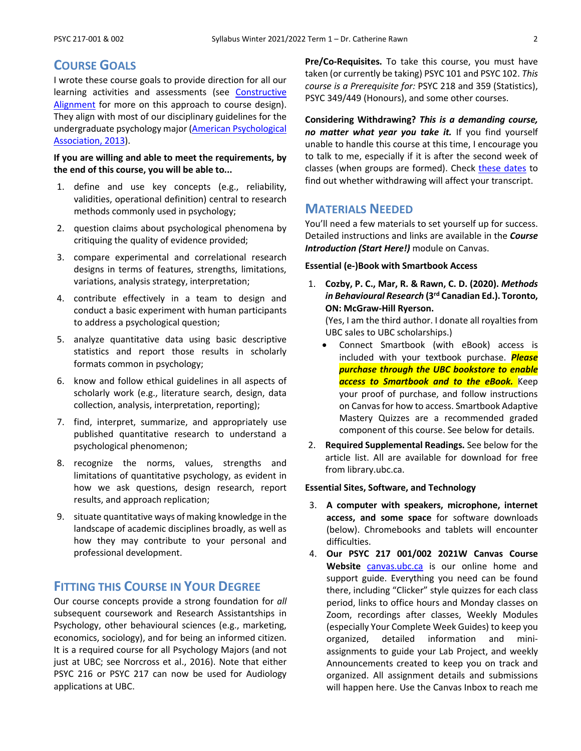### **COURSE GOALS**

I wrote these course goals to provide direction for all our learning activities and assessments (see [Constructive](https://youtu.be/3GegIMZLO24)  [Alignment](https://youtu.be/3GegIMZLO24) for more on this approach to course design). They align with most of our disciplinary guidelines for the undergraduate psychology major (American Psychological [Association, 2013\)](https://www.apa.org/ed/precollege/about/undergraduate-major).

#### **If you are willing and able to meet the requirements, by the end of this course, you will be able to...**

- 1. define and use key concepts (e.g., reliability, validities, operational definition) central to research methods commonly used in psychology;
- 2. question claims about psychological phenomena by critiquing the quality of evidence provided;
- 3. compare experimental and correlational research designs in terms of features, strengths, limitations, variations, analysis strategy, interpretation;
- 4. contribute effectively in a team to design and conduct a basic experiment with human participants to address a psychological question;
- 5. analyze quantitative data using basic descriptive statistics and report those results in scholarly formats common in psychology;
- 6. know and follow ethical guidelines in all aspects of scholarly work (e.g., literature search, design, data collection, analysis, interpretation, reporting);
- 7. find, interpret, summarize, and appropriately use published quantitative research to understand a psychological phenomenon;
- 8. recognize the norms, values, strengths and limitations of quantitative psychology, as evident in how we ask questions, design research, report results, and approach replication;
- 9. situate quantitative ways of making knowledge in the landscape of academic disciplines broadly, as well as how they may contribute to your personal and professional development.

### **FITTING THIS COURSE IN YOUR DEGREE**

Our course concepts provide a strong foundation for *all* subsequent coursework and Research Assistantships in Psychology, other behavioural sciences (e.g., marketing, economics, sociology), and for being an informed citizen. It is a required course for all Psychology Majors (and not just at UBC; see Norcross et al., 2016). Note that either PSYC 216 or PSYC 217 can now be used for Audiology applications at UBC.

**Pre/Co-Requisites.** To take this course, you must have taken (or currently be taking) PSYC 101 and PSYC 102. *This course is a Prerequisite for:* PSYC 218 and 359 (Statistics), PSYC 349/449 (Honours), and some other courses.

**Considering Withdrawing?** *This is a demanding course, no matter what year you take it.* If you find yourself unable to handle this course at this time, I encourage you to talk to me, especially if it is after the second week of classes (when groups are formed). Check [these dates](http://www.calendar.ubc.ca/vancouver/index.cfm?page=deadlines) to find out whether withdrawing will affect your transcript.

### **MATERIALS NEEDED**

You'll need a few materials to set yourself up for success. Detailed instructions and links are available in the *Course Introduction (Start Here!)* module on Canvas.

#### **Essential (e-)Book with Smartbook Access**

1. **Cozby, P. C., Mar, R. & Rawn, C. D. (2020).** *Methods in Behavioural Research* **(3rd Canadian Ed.). Toronto, ON: McGraw-Hill Ryerson.**

(Yes, I am the third author. I donate all royalties from UBC sales to UBC scholarships.)

- Connect Smartbook (with eBook) access is included with your textbook purchase. *Please purchase through the UBC bookstore to enable access to Smartbook and to the eBook.* Keep your proof of purchase, and follow instructions on Canvas for how to access. Smartbook Adaptive Mastery Quizzes are a recommended graded component of this course. See below for details.
- 2. **Required Supplemental Readings.** See below for the article list. All are available for download for free from library.ubc.ca.

#### **Essential Sites, Software, and Technology**

- 3. **A computer with speakers, microphone, internet access, and some space** for software downloads (below). Chromebooks and tablets will encounter difficulties.
- 4. **Our PSYC 217 001/002 2021W Canvas Course Website** [canvas.ubc.ca](https://canvas.ubc.ca/) is our online home and support guide. Everything you need can be found there, including "Clicker" style quizzes for each class period, links to office hours and Monday classes on Zoom, recordings after classes, Weekly Modules (especially Your Complete Week Guides) to keep you organized, detailed information and miniassignments to guide your Lab Project, and weekly Announcements created to keep you on track and organized. All assignment details and submissions will happen here. Use the Canvas Inbox to reach me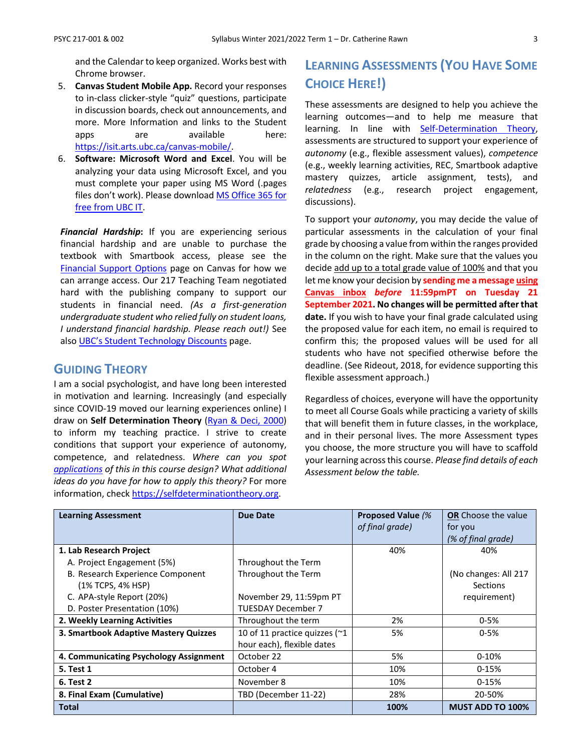and the Calendar to keep organized. Works best with Chrome browser.

- 5. **Canvas Student Mobile App.** Record your responses to in-class clicker-style "quiz" questions, participate in discussion boards, check out announcements, and more. More Information and links to the Student apps are available here: [https://isit.arts.ubc.ca/canvas-mobile/.](https://isit.arts.ubc.ca/canvas-mobile/)
- 6. **Software: Microsoft Word and Excel**. You will be analyzing your data using Microsoft Excel, and you must complete your paper using MS Word (.pages files don't work). Please download [MS Office 365 for](https://it.ubc.ca/services/desktop-print-services/software-licensing/microsoft-365-students)  [free from UBC IT.](https://it.ubc.ca/services/desktop-print-services/software-licensing/microsoft-365-students)

*Financial Hardship***:** If you are experiencing serious financial hardship and are unable to purchase the textbook with Smartbook access, please see the [Financial Support Options](https://canvas.ubc.ca/courses/80505/pages/financial-support-options) page on Canvas for how we can arrange access. Our 217 Teaching Team negotiated hard with the publishing company to support our students in financial need. *(As a first-generation undergraduate student who relied fully on student loans, I understand financial hardship. Please reach out!)* See also [UBC's Student Technology Discounts](https://it.ubc.ca/services/student-discounts-remote-learning) page.

### **GUIDING THEORY**

I am a social psychologist, and have long been interested in motivation and learning. Increasingly (and especially since COVID-19 moved our learning experiences online) I draw on **Self Determination Theory** [\(Ryan & Deci, 2000\)](https://psycnet.apa.org/record/2000-13324-007) to inform my teaching practice. I strive to create conditions that support your experience of autonomy, competence, and relatedness. *Where can you spot [applications](https://selfdeterminationtheory.org/application-education/) of this in this course design? What additional ideas do you have for how to apply this theory?* For more information, check [https://selfdeterminationtheory.org.](https://selfdeterminationtheory.org/)

## **LEARNING ASSESSMENTS (YOU HAVE SOME CHOICE HERE!)**

These assessments are designed to help you achieve the learning outcomes—and to help me measure that learning. In line with [Self-Determination Theory,](https://selfdeterminationtheory.org/application-education/) assessments are structured to support your experience of *autonomy* (e.g., flexible assessment values), *competence* (e.g., weekly learning activities, REC, Smartbook adaptive mastery quizzes, article assignment, tests), and *relatedness* (e.g., research project engagement, discussions).

To support your *autonomy*, you may decide the value of particular assessments in the calculation of your final grade by choosing a value from within the ranges provided in the column on the right. Make sure that the values you decide add up to a total grade value of 100% and that you let me know your decision by **sending me a message using Canvas inbox** *before* **11:59pmPT on Tuesday 21 September 2021. No changes will be permitted after that date.** If you wish to have your final grade calculated using the proposed value for each item, no email is required to confirm this; the proposed values will be used for all students who have not specified otherwise before the deadline. (See Rideout, 2018, for evidence supporting this flexible assessment approach.)

Regardless of choices, everyone will have the opportunity to meet all Course Goals while practicing a variety of skills that will benefit them in future classes, in the workplace, and in their personal lives. The more Assessment types you choose, the more structure you will have to scaffold your learning across this course. *Please find details of each Assessment below the table.*

| <b>Learning Assessment</b>             | Due Date                                | <b>Proposed Value (%</b> | OR Choose the value     |
|----------------------------------------|-----------------------------------------|--------------------------|-------------------------|
|                                        |                                         | of final grade)          | for you                 |
|                                        |                                         |                          | (% of final grade)      |
| 1. Lab Research Project                |                                         | 40%                      | 40%                     |
| A. Project Engagement (5%)             | Throughout the Term                     |                          |                         |
| B. Research Experience Component       | Throughout the Term                     |                          | (No changes: All 217    |
| (1% TCPS, 4% HSP)                      |                                         |                          | <b>Sections</b>         |
| C. APA-style Report (20%)              | November 29, 11:59pm PT                 |                          | requirement)            |
| D. Poster Presentation (10%)           | <b>TUESDAY December 7</b>               |                          |                         |
| 2. Weekly Learning Activities          | Throughout the term                     | 2%                       | $0 - 5%$                |
| 3. Smartbook Adaptive Mastery Quizzes  | 10 of 11 practice quizzes ( $\approx$ 1 | 5%                       | $0 - 5%$                |
|                                        | hour each), flexible dates              |                          |                         |
| 4. Communicating Psychology Assignment | October 22                              | 5%                       | $0-10%$                 |
| <b>5. Test 1</b>                       | October 4                               | 10%                      | $0-15%$                 |
| 6. Test 2                              | November 8                              | 10%                      | $0-15%$                 |
| 8. Final Exam (Cumulative)             | TBD (December 11-22)                    | 28%                      | 20-50%                  |
| Total                                  |                                         | 100%                     | <b>MUST ADD TO 100%</b> |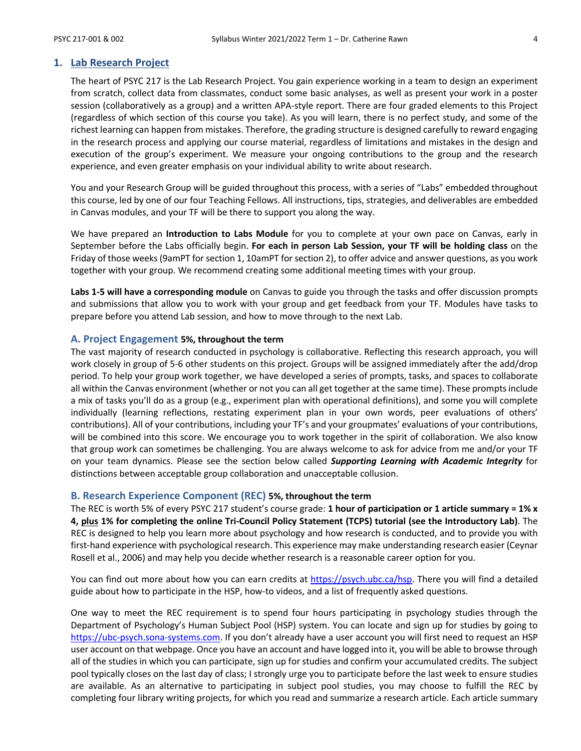#### **1. Lab Research Project**

The heart of PSYC 217 is the Lab Research Project. You gain experience working in a team to design an experiment from scratch, collect data from classmates, conduct some basic analyses, as well as present your work in a poster session (collaboratively as a group) and a written APA-style report. There are four graded elements to this Project (regardless of which section of this course you take). As you will learn, there is no perfect study, and some of the richest learning can happen from mistakes. Therefore, the grading structure is designed carefully to reward engaging in the research process and applying our course material, regardless of limitations and mistakes in the design and execution of the group's experiment. We measure your ongoing contributions to the group and the research experience, and even greater emphasis on your individual ability to write about research.

You and your Research Group will be guided throughout this process, with a series of "Labs" embedded throughout this course, led by one of our four Teaching Fellows. All instructions, tips, strategies, and deliverables are embedded in Canvas modules, and your TF will be there to support you along the way.

We have prepared an **Introduction to Labs Module** for you to complete at your own pace on Canvas, early in September before the Labs officially begin. **For each in person Lab Session, your TF will be holding class** on the Friday of those weeks (9amPT for section 1, 10amPT for section 2), to offer advice and answer questions, as you work together with your group. We recommend creating some additional meeting times with your group.

**Labs 1-5 will have a corresponding module** on Canvas to guide you through the tasks and offer discussion prompts and submissions that allow you to work with your group and get feedback from your TF. Modules have tasks to prepare before you attend Lab session, and how to move through to the next Lab.

#### **A. Project Engagement 5%, throughout the term**

The vast majority of research conducted in psychology is collaborative. Reflecting this research approach, you will work closely in group of 5-6 other students on this project. Groups will be assigned immediately after the add/drop period. To help your group work together, we have developed a series of prompts, tasks, and spaces to collaborate all within the Canvas environment (whether or not you can all get together at the same time). These prompts include a mix of tasks you'll do as a group (e.g., experiment plan with operational definitions), and some you will complete individually (learning reflections, restating experiment plan in your own words, peer evaluations of others' contributions). All of your contributions, including your TF's and your groupmates' evaluations of your contributions, will be combined into this score. We encourage you to work together in the spirit of collaboration. We also know that group work can sometimes be challenging. You are always welcome to ask for advice from me and/or your TF on your team dynamics. Please see the section below called *Supporting Learning with Academic Integrity* for distinctions between acceptable group collaboration and unacceptable collusion.

#### **B. Research Experience Component (REC) 5%, throughout the term**

The REC is worth 5% of every PSYC 217 student's course grade: **1 hour of participation or 1 article summary = 1% x 4, plus 1% for completing the online Tri-Council Policy Statement (TCPS) tutorial (see the Introductory Lab)**. The REC is designed to help you learn more about psychology and how research is conducted, and to provide you with first-hand experience with psychological research. This experience may make understanding research easier (Ceynar Rosell et al., 2006) and may help you decide whether research is a reasonable career option for you.

You can find out more about how you can earn credits at [https://psych.ubc.ca/hsp.](https://psych.ubc.ca/hsp) There you will find a detailed guide about how to participate in the HSP, how-to videos, and a list of frequently asked questions.

One way to meet the REC requirement is to spend four hours participating in psychology studies through the Department of Psychology's Human Subject Pool (HSP) system. You can locate and sign up for studies by going to [https://ubc-psych.sona-systems.com.](https://ubc-psych.sona-systems.com/) If you don't already have a user account you will first need to request an HSP user account on that webpage. Once you have an account and have logged into it, you will be able to browse through all of the studies in which you can participate, sign up for studies and confirm your accumulated credits. The subject pool typically closes on the last day of class; I strongly urge you to participate before the last week to ensure studies are available. As an alternative to participating in subject pool studies, you may choose to fulfill the REC by completing four library writing projects, for which you read and summarize a research article. Each article summary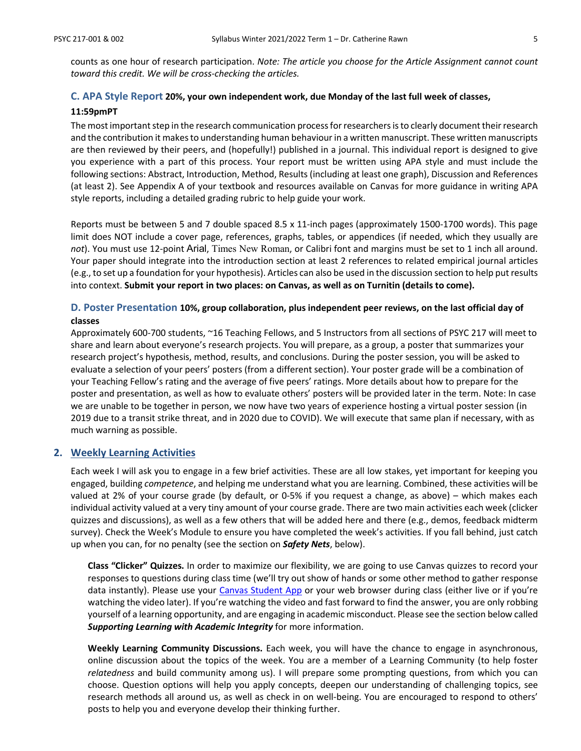counts as one hour of research participation. *Note: The article you choose for the Article Assignment cannot count toward this credit. We will be cross-checking the articles.*

### **C. APA Style Report 20%, your own independent work, due Monday of the last full week of classes,**

#### **11:59pmPT**

The most important step in the research communication process for researchersis to clearly document their research and the contribution it makes to understanding human behaviour in a written manuscript. These written manuscripts are then reviewed by their peers, and (hopefully!) published in a journal. This individual report is designed to give you experience with a part of this process. Your report must be written using APA style and must include the following sections: Abstract, Introduction, Method, Results (including at least one graph), Discussion and References (at least 2). See Appendix A of your textbook and resources available on Canvas for more guidance in writing APA style reports, including a detailed grading rubric to help guide your work.

Reports must be between 5 and 7 double spaced 8.5 x 11-inch pages (approximately 1500-1700 words). This page limit does NOT include a cover page, references, graphs, tables, or appendices (if needed, which they usually are *not*). You must use 12-point Arial, Times New Roman, or Calibri font and margins must be set to 1 inch all around. Your paper should integrate into the introduction section at least 2 references to related empirical journal articles (e.g., to set up a foundation for your hypothesis). Articles can also be used in the discussion section to help put results into context. **Submit your report in two places: on Canvas, as well as on Turnitin (details to come).**

## **D. Poster Presentation 10%, group collaboration, plus independent peer reviews, on the last official day of**

#### **classes**

Approximately 600-700 students, ~16 Teaching Fellows, and 5 Instructors from all sections of PSYC 217 will meet to share and learn about everyone's research projects. You will prepare, as a group, a poster that summarizes your research project's hypothesis, method, results, and conclusions. During the poster session, you will be asked to evaluate a selection of your peers' posters (from a different section). Your poster grade will be a combination of your Teaching Fellow's rating and the average of five peers' ratings. More details about how to prepare for the poster and presentation, as well as how to evaluate others' posters will be provided later in the term. Note: In case we are unable to be together in person, we now have two years of experience hosting a virtual poster session (in 2019 due to a transit strike threat, and in 2020 due to COVID). We will execute that same plan if necessary, with as much warning as possible.

#### **2. Weekly Learning Activities**

Each week I will ask you to engage in a few brief activities. These are all low stakes, yet important for keeping you engaged, building *competence*, and helping me understand what you are learning. Combined, these activities will be valued at 2% of your course grade (by default, or 0-5% if you request a change, as above) – which makes each individual activity valued at a very tiny amount of your course grade. There are two main activities each week (clicker quizzes and discussions), as well as a few others that will be added here and there (e.g., demos, feedback midterm survey). Check the Week's Module to ensure you have completed the week's activities. If you fall behind, just catch up when you can, for no penalty (see the section on *Safety Nets*, below).

**Class "Clicker" Quizzes.** In order to maximize our flexibility, we are going to use Canvas quizzes to record your responses to questions during class time (we'll try out show of hands or some other method to gather response data instantly). Please use your [Canvas Student App](https://isit.arts.ubc.ca/canvas-mobile/) or your web browser during class (either live or if you're watching the video later). If you're watching the video and fast forward to find the answer, you are only robbing yourself of a learning opportunity, and are engaging in academic misconduct. Please see the section below called *Supporting Learning with Academic Integrity* for more information.

**Weekly Learning Community Discussions.** Each week, you will have the chance to engage in asynchronous, online discussion about the topics of the week. You are a member of a Learning Community (to help foster *relatedness* and build community among us). I will prepare some prompting questions, from which you can choose. Question options will help you apply concepts, deepen our understanding of challenging topics, see research methods all around us, as well as check in on well-being. You are encouraged to respond to others' posts to help you and everyone develop their thinking further.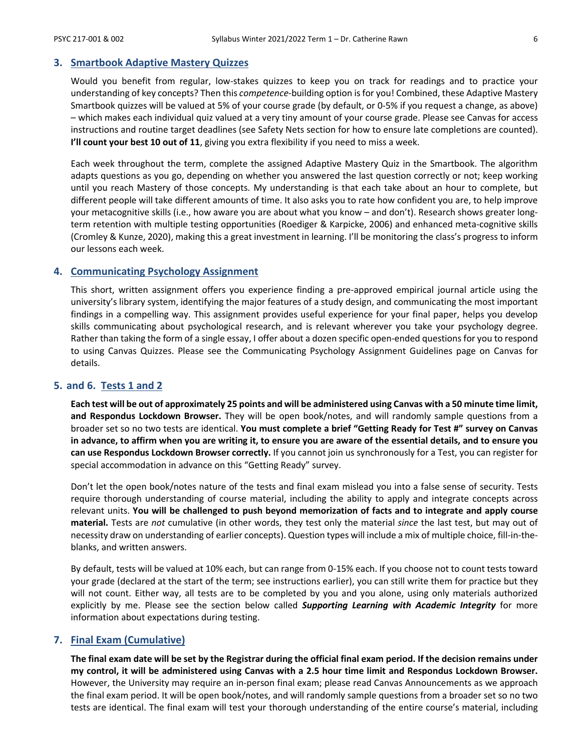#### **3. Smartbook Adaptive Mastery Quizzes**

Would you benefit from regular, low-stakes quizzes to keep you on track for readings and to practice your understanding of key concepts? Then this *competence-*building option is for you! Combined, these Adaptive Mastery Smartbook quizzes will be valued at 5% of your course grade (by default, or 0-5% if you request a change, as above) – which makes each individual quiz valued at a very tiny amount of your course grade. Please see Canvas for access instructions and routine target deadlines (see Safety Nets section for how to ensure late completions are counted). **I'll count your best 10 out of 11**, giving you extra flexibility if you need to miss a week.

Each week throughout the term, complete the assigned Adaptive Mastery Quiz in the Smartbook. The algorithm adapts questions as you go, depending on whether you answered the last question correctly or not; keep working until you reach Mastery of those concepts. My understanding is that each take about an hour to complete, but different people will take different amounts of time. It also asks you to rate how confident you are, to help improve your metacognitive skills (i.e., how aware you are about what you know – and don't). Research shows greater longterm retention with multiple testing opportunities (Roediger & Karpicke, 2006) and enhanced meta-cognitive skills (Cromley & Kunze, 2020), making this a great investment in learning. I'll be monitoring the class's progress to inform our lessons each week.

#### **4. Communicating Psychology Assignment**

This short, written assignment offers you experience finding a pre-approved empirical journal article using the university's library system, identifying the major features of a study design, and communicating the most important findings in a compelling way. This assignment provides useful experience for your final paper, helps you develop skills communicating about psychological research, and is relevant wherever you take your psychology degree. Rather than taking the form of a single essay, I offer about a dozen specific open-ended questions for you to respond to using Canvas Quizzes. Please see the Communicating Psychology Assignment Guidelines page on Canvas for details.

#### **5. and 6. Tests 1 and 2**

**Each test will be out of approximately 25 points and will be administered using Canvas with a 50 minute time limit, and Respondus Lockdown Browser.** They will be open book/notes, and will randomly sample questions from a broader set so no two tests are identical. **You must complete a brief "Getting Ready for Test #" survey on Canvas in advance, to affirm when you are writing it, to ensure you are aware of the essential details, and to ensure you can use Respondus Lockdown Browser correctly.** If you cannot join us synchronously for a Test, you can register for special accommodation in advance on this "Getting Ready" survey.

Don't let the open book/notes nature of the tests and final exam mislead you into a false sense of security. Tests require thorough understanding of course material, including the ability to apply and integrate concepts across relevant units. **You will be challenged to push beyond memorization of facts and to integrate and apply course material.** Tests are *not* cumulative (in other words, they test only the material *since* the last test, but may out of necessity draw on understanding of earlier concepts). Question types will include a mix of multiple choice, fill-in-theblanks, and written answers.

By default, tests will be valued at 10% each, but can range from 0-15% each. If you choose not to count tests toward your grade (declared at the start of the term; see instructions earlier), you can still write them for practice but they will not count. Either way, all tests are to be completed by you and you alone, using only materials authorized explicitly by me. Please see the section below called *Supporting Learning with Academic Integrity* for more information about expectations during testing.

#### **7. Final Exam (Cumulative)**

**The final exam date will be set by the Registrar during the official final exam period. If the decision remains under my control, it will be administered using Canvas with a 2.5 hour time limit and Respondus Lockdown Browser.** However, the University may require an in-person final exam; please read Canvas Announcements as we approach the final exam period. It will be open book/notes, and will randomly sample questions from a broader set so no two tests are identical. The final exam will test your thorough understanding of the entire course's material, including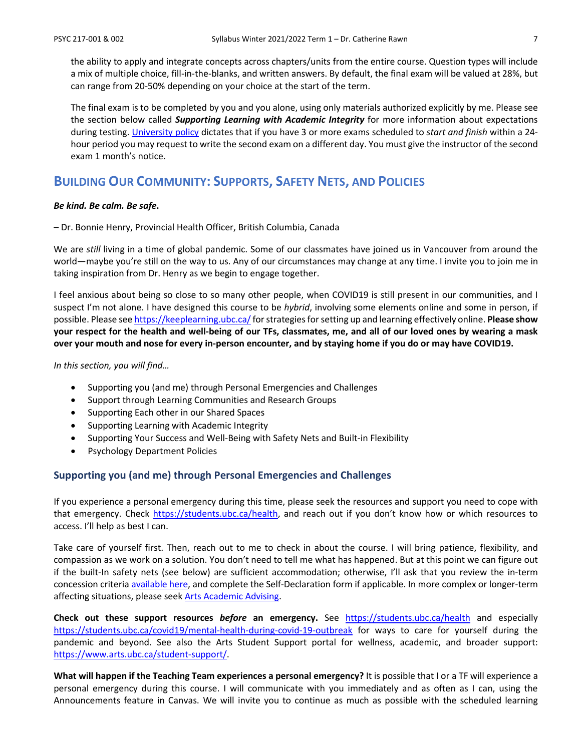the ability to apply and integrate concepts across chapters/units from the entire course. Question types will include a mix of multiple choice, fill-in-the-blanks, and written answers. By default, the final exam will be valued at 28%, but can range from 20-50% depending on your choice at the start of the term.

The final exam is to be completed by you and you alone, using only materials authorized explicitly by me. Please see the section below called *Supporting Learning with Academic Integrity* for more information about expectations during testing. [University policy](http://www.calendar.ubc.ca/vancouver/index.cfm?tree=3,41,91,0) dictates that if you have 3 or more exams scheduled to *start and finish* within a 24 hour period you may request to write the second exam on a different day. You must give the instructor of the second exam 1 month's notice.

### **BUILDING OUR COMMUNITY: SUPPORTS, SAFETY NETS, AND POLICIES**

#### *Be kind. Be calm. Be safe***.**

– Dr. Bonnie Henry, Provincial Health Officer, British Columbia, Canada

We are *still* living in a time of global pandemic. Some of our classmates have joined us in Vancouver from around the world—maybe you're still on the way to us. Any of our circumstances may change at any time. I invite you to join me in taking inspiration from Dr. Henry as we begin to engage together.

I feel anxious about being so close to so many other people, when COVID19 is still present in our communities, and I suspect I'm not alone. I have designed this course to be *hybrid*, involving some elements online and some in person, if possible. Please se[e https://keeplearning.ubc.ca/f](https://keeplearning.ubc.ca/)or strategies for setting up and learning effectively online. **Please show your respect for the health and well-being of our TFs, classmates, me, and all of our loved ones by wearing a mask over your mouth and nose for every in-person encounter, and by staying home if you do or may have COVID19.**

*In this section, you will find…*

- Supporting you (and me) through Personal Emergencies and Challenges
- Support through Learning Communities and Research Groups
- Supporting Each other in our Shared Spaces
- Supporting Learning with Academic Integrity
- Supporting Your Success and Well-Being with Safety Nets and Built-in Flexibility
- Psychology Department Policies

#### **Supporting you (and me) through Personal Emergencies and Challenges**

If you experience a personal emergency during this time, please seek the resources and support you need to cope with that emergency. Check [https://students.ubc.ca/health,](https://students.ubc.ca/health) and reach out if you don't know how or which resources to access. I'll help as best I can.

Take care of yourself first. Then, reach out to me to check in about the course. I will bring patience, flexibility, and compassion as we work on a solution. You don't need to tell me what has happened. But at this point we can figure out if the built-In safety nets (see below) are sufficient accommodation; otherwise, I'll ask that you review the in-term concession criteri[a available here,](https://www.arts.ubc.ca/degree-planning/academic-performance/academic-concession/) and complete the Self-Declaration form if applicable. In more complex or longer-term affecting situations, please seek [Arts Academic Advising.](https://students.arts.ubc.ca/advising/contact-us/)

**Check out these support resources** *before* **an emergency.** See <https://students.ubc.ca/health> and especially <https://students.ubc.ca/covid19/mental-health-during-covid-19-outbreak> for ways to care for yourself during the pandemic and beyond. See also the Arts Student Support portal for wellness, academic, and broader support: [https://www.arts.ubc.ca/student-support/.](https://www.arts.ubc.ca/student-support/)

**What will happen if the Teaching Team experiences a personal emergency?** It is possible that I or a TF will experience a personal emergency during this course. I will communicate with you immediately and as often as I can, using the Announcements feature in Canvas. We will invite you to continue as much as possible with the scheduled learning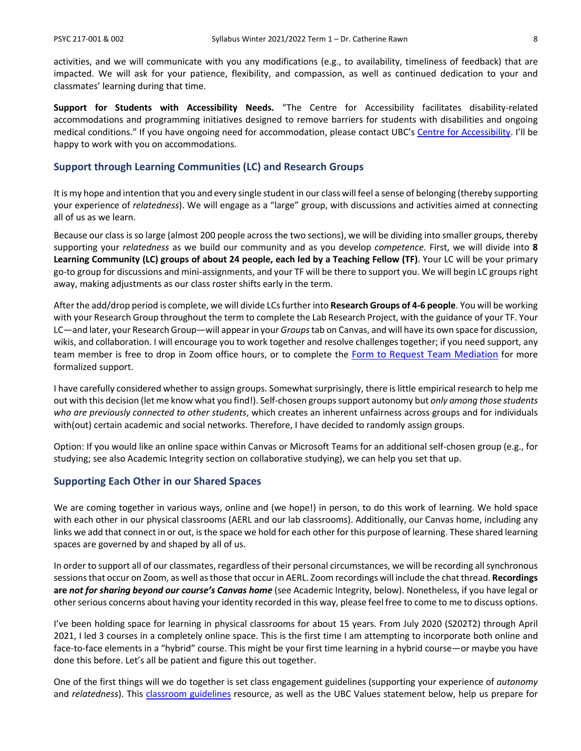activities, and we will communicate with you any modifications (e.g., to availability, timeliness of feedback) that are impacted. We will ask for your patience, flexibility, and compassion, as well as continued dedication to your and classmates' learning during that time.

**Support for Students with Accessibility Needs.** "The Centre for Accessibility facilitates disability-related accommodations and programming initiatives designed to remove barriers for students with disabilities and ongoing medical conditions." If you have ongoing need for accommodation, please contact UBC's [Centre for Accessibility.](https://students.ubc.ca/about-student-services/centre-for-accessibility) I'll be happy to work with you on accommodations.

#### **Support through Learning Communities (LC) and Research Groups**

It is my hope and intention that you and every single student in our class will feel a sense of belonging (thereby supporting your experience of *relatedness*). We will engage as a "large" group, with discussions and activities aimed at connecting all of us as we learn.

Because our class is so large (almost 200 people across the two sections), we will be dividing into smaller groups, thereby supporting your *relatedness* as we build our community and as you develop *competence.* First, we will divide into **8 Learning Community (LC) groups of about 24 people, each led by a Teaching Fellow (TF)**. Your LC will be your primary go-to group for discussions and mini-assignments, and your TF will be there to support you. We will begin LC groups right away, making adjustments as our class roster shifts early in the term.

After the add/drop period is complete, we will divide LCs further into **Research Groups of 4-6 people**. You will be working with your Research Group throughout the term to complete the Lab Research Project, with the guidance of your TF. Your LC—and later, your Research Group—will appear in your *Groups*tab on Canvas, and will have its own space for discussion, wikis, and collaboration. I will encourage you to work together and resolve challenges together; if you need support, any team member is free to drop in Zoom office hours, or to complete the [Form to Request Team Mediation](https://ubcarts.ca1.qualtrics.com/jfe/form/SV_0StAYZyj8RpYUlL) for more formalized support.

I have carefully considered whether to assign groups. Somewhat surprisingly, there is little empirical research to help me out with this decision (let me know what you find!). Self-chosen groupssupport autonomy but *only among those students who are previously connected to other students*, which creates an inherent unfairness across groups and for individuals with(out) certain academic and social networks. Therefore, I have decided to randomly assign groups.

Option: If you would like an online space within Canvas or Microsoft Teams for an additional self-chosen group (e.g., for studying; see also Academic Integrity section on collaborative studying), we can help you set that up.

#### **Supporting Each Other in our Shared Spaces**

We are coming together in various ways, online and (we hope!) in person, to do this work of learning. We hold space with each other in our physical classrooms (AERL and our lab classrooms). Additionally, our Canvas home, including any links we add that connect in or out, is the space we hold for each other for this purpose of learning. These shared learning spaces are governed by and shaped by all of us.

In order to support all of our classmates, regardless of their personal circumstances, we will be recording all synchronous sessions that occur on Zoom, as well as those that occur in AERL. Zoom recordings will include the chat thread. **Recordings are** *not for sharing beyond our course's Canvas home* (see Academic Integrity, below). Nonetheless, if you have legal or other serious concerns about having your identity recorded in this way, please feel free to come to me to discuss options.

I've been holding space for learning in physical classrooms for about 15 years. From July 2020 (S202T2) through April 2021, I led 3 courses in a completely online space. This is the first time I am attempting to incorporate both online and face-to-face elements in a "hybrid" course. This might be your first time learning in a hybrid course—or maybe you have done this before. Let's all be patient and figure this out together.

One of the first things will we do together is set class engagement guidelines (supporting your experience of *autonomy* and *relatedness*). This [classroom guidelines](https://wiki.ubc.ca/Documentation:Inclusive_Teaching/Classroom_Guidelines) resource, as well as the UBC Values statement below, help us prepare for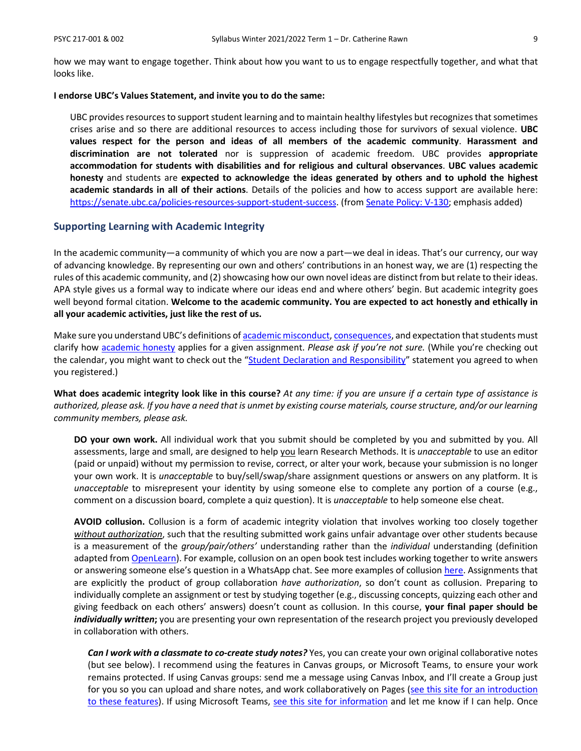how we may want to engage together. Think about how you want to us to engage respectfully together, and what that looks like.

#### **I endorse UBC's Values Statement, and invite you to do the same:**

UBC provides resources to support student learning and to maintain healthy lifestyles but recognizes that sometimes crises arise and so there are additional resources to access including those for survivors of sexual violence. **UBC values respect for the person and ideas of all members of the academic community**. **Harassment and discrimination are not tolerated** nor is suppression of academic freedom. UBC provides **appropriate accommodation for students with disabilities and for religious and cultural observances**. **UBC values academic honesty** and students are **expected to acknowledge the ideas generated by others and to uphold the highest academic standards in all of their actions**. Details of the policies and how to access support are available here: [https://senate.ubc.ca/policies-resources-support-student-success.](https://senate.ubc.ca/policies-resources-support-student-success) (from [Senate Policy: V-130;](https://senate.ubc.ca/sites/senate.ubc.ca/files/downloads/Policy-20190207-V-130-Syllabus.pdf) emphasis added)

#### **Supporting Learning with Academic Integrity**

In the academic community—a community of which you are now a part—we deal in ideas. That's our currency, our way of advancing knowledge. By representing our own and others' contributions in an honest way, we are (1) respecting the rules of this academic community, and (2) showcasing how our own novel ideas are distinct from but relate to their ideas. APA style gives us a formal way to indicate where our ideas end and where others' begin. But academic integrity goes well beyond formal citation. **Welcome to the academic community. You are expected to act honestly and ethically in all your academic activities, just like the rest of us.**

Make sure you understand UBC's definitions o[f academic misconduct,](http://www.calendar.ubc.ca/Vancouver/index.cfm?tree=3,54,111,959) [consequences,](http://www.calendar.ubc.ca/Vancouver/index.cfm?tree=3,54,111,960) and expectation that students must clarify how [academic honesty](http://www.calendar.ubc.ca/Vancouver/index.cfm?tree=3,286,0,0) applies for a given assignment. *Please ask if you're not sure.* (While you're checking out the calendar, you might want to check out the ["Student Declaration and Responsibility"](http://www.calendar.ubc.ca/Vancouver/index.cfm?tree=3,285,0,0) statement you agreed to when you registered.)

**What does academic integrity look like in this course?** *At any time: if you are unsure if a certain type of assistance is authorized, please ask. If you have a need that is unmet by existing course materials, course structure, and/or our learning community members, please ask.*

**DO your own work.** All individual work that you submit should be completed by you and submitted by you. All assessments, large and small, are designed to help you learn Research Methods. It is *unacceptable* to use an editor (paid or unpaid) without my permission to revise, correct, or alter your work, because your submission is no longer your own work. It is *unacceptable* to buy/sell/swap/share assignment questions or answers on any platform. It is *unacceptable* to misrepresent your identity by using someone else to complete any portion of a course (e.g., comment on a discussion board, complete a quiz question). It is *unacceptable* to help someone else cheat.

**AVOID collusion.** Collusion is a form of academic integrity violation that involves working too closely together *without authorization*, such that the resulting submitted work gains unfair advantage over other students because is a measurement of the *group/pair/others'* understanding rather than the *individual* understanding (definition adapted fro[m OpenLearn\)](https://www.open.edu/openlearn/education/educational-technology-and-practice/educational-practice/developing-good-academic-practice/content-section-3.2). For example, collusion on an open book test includes working together to write answers or answering someone else's question in a WhatsApp chat. See more examples of collusio[n here.](https://www.open.edu/openlearn/education/educational-technology-and-practice/educational-practice/developing-good-academic-practice/content-section-3.2) Assignments that are explicitly the product of group collaboration *have authorization*, so don't count as collusion. Preparing to individually complete an assignment or test by studying together (e.g., discussing concepts, quizzing each other and giving feedback on each others' answers) doesn't count as collusion. In this course, **your final paper should be**  *individually written***;** you are presenting your own representation of the research project you previously developed in collaboration with others.

*Can I work with a classmate to co-create study notes?* Yes, you can create your own original collaborative notes (but see below). I recommend using the features in Canvas groups, or Microsoft Teams, to ensure your work remains protected. If using Canvas groups: send me a message using Canvas Inbox, and I'll create a Group just for you so you can upload and share notes, and work collaboratively on Pages (see this site for [an introduction](https://students.canvas.ubc.ca/navigating-canvas-groups/)  [to these features\)](https://students.canvas.ubc.ca/navigating-canvas-groups/). If using Microsoft Teams, [see this site for information](https://lthub.ubc.ca/guides/microsoft-teams-student-guide/) and let me know if I can help. Once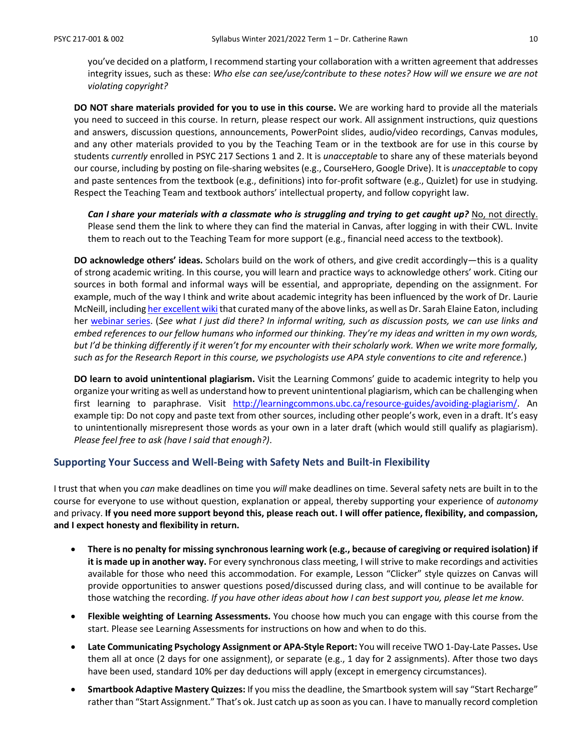you've decided on a platform, I recommend starting your collaboration with a written agreement that addresses integrity issues, such as these: *Who else can see/use/contribute to these notes? How will we ensure we are not violating copyright?*

**DO NOT share materials provided for you to use in this course.** We are working hard to provide all the materials you need to succeed in this course. In return, please respect our work. All assignment instructions, quiz questions and answers, discussion questions, announcements, PowerPoint slides, audio/video recordings, Canvas modules, and any other materials provided to you by the Teaching Team or in the textbook are for use in this course by students *currently* enrolled in PSYC 217 Sections 1 and 2. It is *unacceptable* to share any of these materials beyond our course, including by posting on file-sharing websites (e.g., CourseHero, Google Drive). It is *unacceptable* to copy and paste sentences from the textbook (e.g., definitions) into for-profit software (e.g., Quizlet) for use in studying. Respect the Teaching Team and textbook authors' intellectual property, and follow copyright law.

*Can I share your materials with a classmate who is struggling and trying to get caught up?* No, not directly. Please send them the link to where they can find the material in Canvas, after logging in with their CWL. Invite them to reach out to the Teaching Team for more support (e.g., financial need access to the textbook).

**DO acknowledge others' ideas.** Scholars build on the work of others, and give credit accordingly—this is a quality of strong academic writing. In this course, you will learn and practice ways to acknowledge others' work. Citing our sources in both formal and informal ways will be essential, and appropriate, depending on the assignment. For example, much of the way I think and write about academic integrity has been influenced by the work of Dr. Laurie McNeill, includin[g her excellent wiki](https://wiki.ubc.ca/Learning_Commons:Faculty_Resources/Academic_Integrity) that curated many of the above links, as well as Dr. Sarah Elaine Eaton, including her [webinar series.](https://taylorinstitute.ucalgary.ca/series/academic-integrity-urgent-emerging-topics) (*See what I just did there? In informal writing, such as discussion posts, we can use links and embed references to our fellow humans who informed our thinking. They're my ideas and written in my own words, but I'd be thinking differently if it weren't for my encounter with their scholarly work. When we write more formally, such as for the Research Report in this course, we psychologists use APA style conventions to cite and reference.*)

**DO learn to avoid unintentional plagiarism.** Visit the Learning Commons' guide to academic integrity to help you organize your writing as well as understand how to prevent unintentional plagiarism, which can be challenging when first learning to paraphrase. Visit [http://learningcommons.ubc.ca/resource-guides/avoiding-plagiarism/.](http://learningcommons.ubc.ca/resource-guides/avoiding-plagiarism/) An example tip: Do not copy and paste text from other sources, including other people's work, even in a draft. It's easy to unintentionally misrepresent those words as your own in a later draft (which would still qualify as plagiarism). *Please feel free to ask (have I said that enough?)*.

#### **Supporting Your Success and Well-Being with Safety Nets and Built-in Flexibility**

I trust that when you *can* make deadlines on time you *will* make deadlines on time. Several safety nets are built in to the course for everyone to use without question, explanation or appeal, thereby supporting your experience of *autonomy* and privacy. **If you need more support beyond this, please reach out. I will offer patience, flexibility, and compassion, and I expect honesty and flexibility in return.**

- **There is no penalty for missing synchronous learning work (e.g., because of caregiving or required isolation) if it is made up in another way.** For every synchronous class meeting, I will strive to make recordings and activities available for those who need this accommodation. For example, Lesson "Clicker" style quizzes on Canvas will provide opportunities to answer questions posed/discussed during class, and will continue to be available for those watching the recording. *If you have other ideas about how I can best support you, please let me know.*
- **Flexible weighting of Learning Assessments.** You choose how much you can engage with this course from the start. Please see Learning Assessments for instructions on how and when to do this.
- **Late Communicating Psychology Assignment or APA-Style Report:** You will receive TWO 1-Day-Late Passes**.** Use them all at once (2 days for one assignment), or separate (e.g., 1 day for 2 assignments). After those two days have been used, standard 10% per day deductions will apply (except in emergency circumstances).
- **Smartbook Adaptive Mastery Quizzes:** If you miss the deadline, the Smartbook system will say "Start Recharge" rather than "Start Assignment." That's ok. Just catch up as soon as you can. I have to manually record completion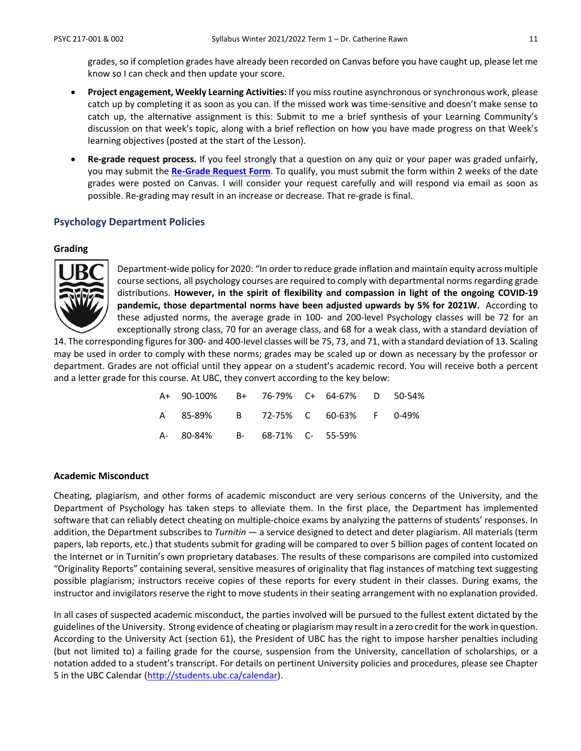grades, so if completion grades have already been recorded on Canvas before you have caught up, please let me know so I can check and then update your score.

- **Project engagement, Weekly Learning Activities:** If you miss routine asynchronous or synchronous work, please catch up by completing it as soon as you can. If the missed work was time-sensitive and doesn't make sense to catch up, the alternative assignment is this: Submit to me a brief synthesis of your Learning Community's discussion on that week's topic, along with a brief reflection on how you have made progress on that Week's learning objectives (posted at the start of the Lesson).
- **Re-grade request process.** If you feel strongly that a question on any quiz or your paper was graded unfairly, you may submit the **[Re-Grade Request Form](https://ubcarts.ca1.qualtrics.com/jfe/form/SV_a9m73Sk3N9ApUrP)**. To qualify, you must submit the form within 2 weeks of the date grades were posted on Canvas. I will consider your request carefully and will respond via email as soon as possible. Re-grading may result in an increase or decrease. That re-grade is final.

#### **Psychology Department Policies**

#### **Grading**



Department-wide policy for 2020: "In order to reduce grade inflation and maintain equity across multiple course sections, all psychology courses are required to comply with departmental norms regarding grade distributions. **However, in the spirit of flexibility and compassion in light of the ongoing COVID-19 pandemic, those departmental norms have been adjusted upwards by 5% for 2021W.** According to these adjusted norms, the average grade in 100- and 200-level Psychology classes will be 72 for an exceptionally strong class, 70 for an average class, and 68 for a weak class, with a standard deviation of

14. The corresponding figures for 300- and 400-level classes will be 75, 73, and 71, with a standard deviation of 13. Scaling may be used in order to comply with these norms; grades may be scaled up or down as necessary by the professor or department. Grades are not official until they appear on a student's academic record. You will receive both a percent and a letter grade for this course. At UBC, they convert according to the key below:

| A+ 90-100% B+ 76-79% C+ 64-67% D 50-54% |  |  |  |
|-----------------------------------------|--|--|--|
| A 85-89% B 72-75% C 60-63% F 0-49%      |  |  |  |
| A- 80-84% B- 68-71% C- 55-59%           |  |  |  |

#### **Academic Misconduct**

Cheating, plagiarism, and other forms of academic misconduct are very serious concerns of the University, and the Department of Psychology has taken steps to alleviate them. In the first place, the Department has implemented software that can reliably detect cheating on multiple-choice exams by analyzing the patterns of students' responses. In addition, the Department subscribes to *Turnitin* — a service designed to detect and deter plagiarism. All materials (term papers, lab reports, etc.) that students submit for grading will be compared to over 5 billion pages of content located on the Internet or in Turnitin's own proprietary databases. The results of these comparisons are compiled into customized "Originality Reports" containing several, sensitive measures of originality that flag instances of matching text suggesting possible plagiarism; instructors receive copies of these reports for every student in their classes. During exams, the instructor and invigilators reserve the right to move students in their seating arrangement with no explanation provided.

In all cases of suspected academic misconduct, the parties involved will be pursued to the fullest extent dictated by the guidelines of the University. Strong evidence of cheating or plagiarism may result in a zero credit for the work in question. According to the University Act (section 61), the President of UBC has the right to impose harsher penalties including (but not limited to) a failing grade for the course, suspension from the University, cancellation of scholarships, or a notation added to a student's transcript. For details on pertinent University policies and procedures, please see Chapter 5 in the UBC Calendar [\(http://students.ubc.ca/calendar\)](http://students.ubc.ca/calendar).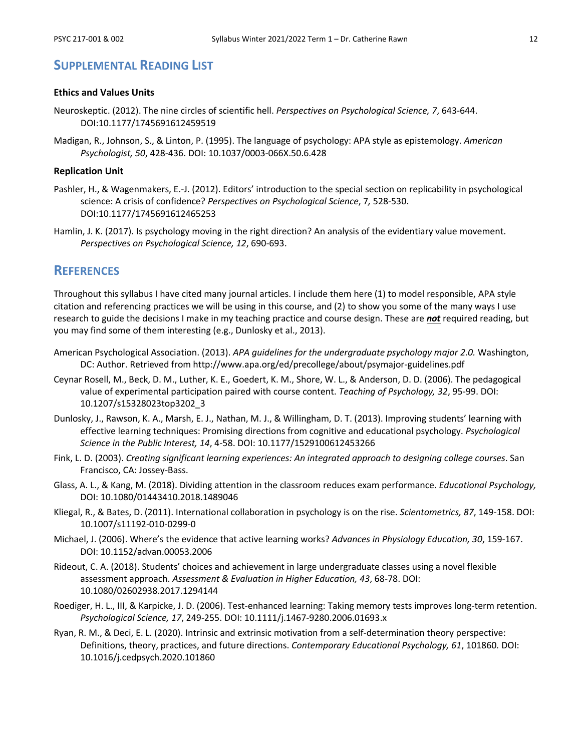### **SUPPLEMENTAL READING LIST**

#### **Ethics and Values Units**

- Neuroskeptic. (2012). The nine circles of scientific hell. *Perspectives on Psychological Science, 7*, 643-644. DOI:10.1177/1745691612459519
- Madigan, R., Johnson, S., & Linton, P. (1995). The language of psychology: APA style as epistemology. *American Psychologist, 50*, 428-436. DOI: 10.1037/0003-066X.50.6.428

#### **Replication Unit**

- Pashler, H., & Wagenmakers, E.-J. (2012). Editors' introduction to the special section on replicability in psychological science: A crisis of confidence? *Perspectives on Psychological Science*, 7*,* 528-530. DOI:10.1177/1745691612465253
- Hamlin, J. K. (2017). Is psychology moving in the right direction? An analysis of the evidentiary value movement. *Perspectives on Psychological Science, 12*, 690-693.

### **REFERENCES**

Throughout this syllabus I have cited many journal articles. I include them here (1) to model responsible, APA style citation and referencing practices we will be using in this course, and (2) to show you some of the many ways I use research to guide the decisions I make in my teaching practice and course design. These are *not* required reading, but you may find some of them interesting (e.g., Dunlosky et al., 2013).

- American Psychological Association. (2013). *APA guidelines for the undergraduate psychology major 2.0.* Washington, DC: Author. Retrieved from http://www.apa.org/ed/precollege/about/psymajor-guidelines.pdf
- Ceynar Rosell, M., Beck, D. M., Luther, K. E., Goedert, K. M., Shore, W. L., & Anderson, D. D. (2006). The pedagogical value of experimental participation paired with course content. *Teaching of Psychology, 32*, 95-99. DOI: 10.1207/s15328023top3202\_3
- Dunlosky, J., Rawson, K. A., Marsh, E. J., Nathan, M. J., & Willingham, D. T. (2013). Improving students' learning with effective learning techniques: Promising directions from cognitive and educational psychology. *Psychological Science in the Public Interest, 14*, 4-58. DOI: 10.1177/1529100612453266
- Fink, L. D. (2003). *Creating significant learning experiences: An integrated approach to designing college courses*. San Francisco, CA: Jossey-Bass.
- Glass, A. L., & Kang, M. (2018). Dividing attention in the classroom reduces exam performance. *Educational Psychology,*  DOI: 10.1080/01443410.2018.1489046
- Kliegal, R., & Bates, D. (2011). International collaboration in psychology is on the rise. *Scientometrics, 87*, 149-158. DOI: 10.1007/s11192-010-0299-0
- Michael, J. (2006). Where's the evidence that active learning works? *Advances in Physiology Education, 30*, 159-167. DOI: 10.1152/advan.00053.2006
- Rideout, C. A. (2018). Students' choices and achievement in large undergraduate classes using a novel flexible assessment approach. *Assessment & Evaluation in Higher Education, 43*, 68-78. DOI: 10.1080/02602938.2017.1294144
- Roediger, H. L., III, & Karpicke, J. D. (2006). Test-enhanced learning: Taking memory tests improves long-term retention. *Psychological Science, 17*, 249-255. DOI: 10.1111/j.1467-9280.2006.01693.x
- Ryan, R. M., & Deci, E. L. (2020). Intrinsic and extrinsic motivation from a self-determination theory perspective: Definitions, theory, practices, and future directions. *Contemporary Educational Psychology, 61*, 101860*.* DOI: 10.1016/j.cedpsych.2020.101860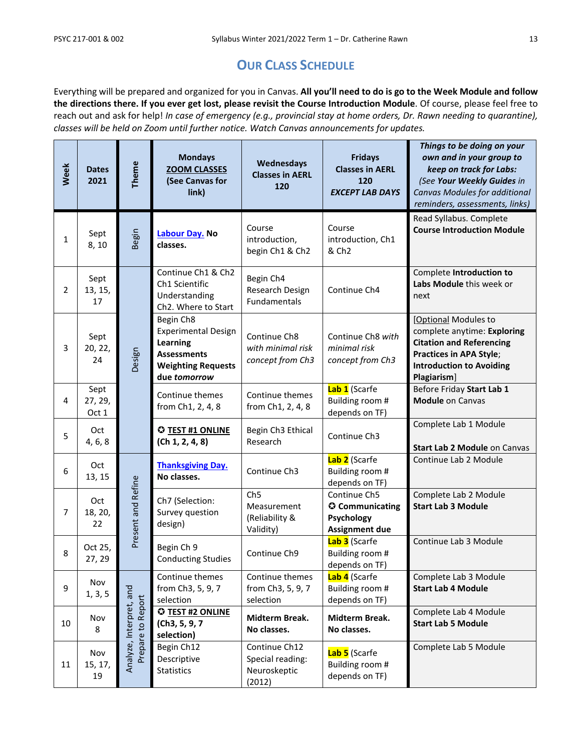### **OUR CLASS SCHEDULE**

Everything will be prepared and organized for you in Canvas. **All you'll need to do is go to the Week Module and follow the directions there. If you ever get lost, please revisit the Course Introduction Module**. Of course, please feel free to reach out and ask for help! *In case of emergency (e.g., provincial stay at home orders, Dr. Rawn needing to quarantine), classes will be held on Zoom until further notice. Watch Canvas announcements for updates.*

| <b>Week</b>    | <b>Dates</b><br>2021     | Theme                                        | <b>Mondays</b><br><b>ZOOM CLASSES</b><br>(See Canvas for<br>link)                                                      | Wednesdays<br><b>Classes in AERL</b><br>120                   | <b>Fridays</b><br><b>Classes in AERL</b><br>120<br><b>EXCEPT LAB DAYS</b> | Things to be doing on your<br>own and in your group to<br>keep on track for Labs:<br>(See Your Weekly Guides in<br>Canvas Modules for additional<br>reminders, assessments, links) |
|----------------|--------------------------|----------------------------------------------|------------------------------------------------------------------------------------------------------------------------|---------------------------------------------------------------|---------------------------------------------------------------------------|------------------------------------------------------------------------------------------------------------------------------------------------------------------------------------|
| $\mathbf{1}$   | Sept<br>8,10             | Begin                                        | Labour Day. No<br>classes.                                                                                             | Course<br>introduction,<br>begin Ch1 & Ch2                    | Course<br>introduction, Ch1<br>& Ch <sub>2</sub>                          | Read Syllabus. Complete<br><b>Course Introduction Module</b>                                                                                                                       |
| $\overline{2}$ | Sept<br>13, 15,<br>17    |                                              | Continue Ch1 & Ch2<br>Ch1 Scientific<br>Understanding<br>Ch2. Where to Start                                           | Begin Ch4<br>Research Design<br>Fundamentals                  | Continue Ch4                                                              | Complete Introduction to<br>Labs Module this week or<br>next                                                                                                                       |
| 3              | Sept<br>20, 22,<br>24    | Design                                       | Begin Ch8<br><b>Experimental Design</b><br>Learning<br><b>Assessments</b><br><b>Weighting Requests</b><br>due tomorrow | Continue Ch8<br>with minimal risk<br>concept from Ch3         | Continue Ch8 with<br>minimal risk<br>concept from Ch3                     | [Optional Modules to<br>complete anytime: Exploring<br><b>Citation and Referencing</b><br>Practices in APA Style;<br><b>Introduction to Avoiding</b><br>Plagiarism]                |
| 4              | Sept<br>27, 29,<br>Oct 1 |                                              | Continue themes<br>from Ch1, 2, 4, 8                                                                                   | Continue themes<br>from Ch1, 2, 4, 8                          | Lab 1 (Scarfe<br>Building room #<br>depends on TF)                        | Before Friday Start Lab 1<br><b>Module on Canvas</b>                                                                                                                               |
| 5              | Oct<br>4, 6, 8           |                                              | <b>C TEST #1 ONLINE</b><br>(Ch 1, 2, 4, 8)                                                                             | Begin Ch3 Ethical<br>Research                                 | Continue Ch3                                                              | Complete Lab 1 Module<br>Start Lab 2 Module on Canvas                                                                                                                              |
| 6              | Oct<br>13, 15            |                                              | <b>Thanksgiving Day.</b><br>No classes.                                                                                | Continue Ch3                                                  | Lab 2 (Scarfe<br>Building room #<br>depends on TF)                        | Continue Lab 2 Module                                                                                                                                                              |
| $\overline{7}$ | Oct<br>18, 20,<br>22     | Present and Refine                           | Ch7 (Selection:<br>Survey question<br>design)                                                                          | Ch <sub>5</sub><br>Measurement<br>(Reliability &<br>Validity) | Continue Ch5<br>C Communicating<br>Psychology<br><b>Assignment due</b>    | Complete Lab 2 Module<br><b>Start Lab 3 Module</b>                                                                                                                                 |
| 8              | Oct 25,<br>27, 29        |                                              | Begin Ch 9<br><b>Conducting Studies</b>                                                                                | Continue Ch9                                                  | Lab 3 (Scarfe<br>Building room #<br>depends on TF)                        | Continue Lab 3 Module                                                                                                                                                              |
| 9              | Nov<br>1, 3, 5           |                                              | Continue themes<br>from Ch3, 5, 9, 7<br>selection                                                                      | Continue themes<br>from Ch3, 5, 9, 7<br>selection             | Lab 4 (Scarfe<br>Building room #<br>depends on TF)                        | Complete Lab 3 Module<br><b>Start Lab 4 Module</b>                                                                                                                                 |
| 10             | Nov<br>8                 | Analyze, Interpret, and<br>Prepare to Report | <b>C TEST #2 ONLINE</b><br>(Ch3, 5, 9, 7<br>selection)                                                                 | Midterm Break.<br>No classes.                                 | Midterm Break.<br>No classes.                                             | Complete Lab 4 Module<br><b>Start Lab 5 Module</b>                                                                                                                                 |
| 11             | Nov<br>15, 17,<br>19     |                                              | Begin Ch12<br>Descriptive<br><b>Statistics</b>                                                                         | Continue Ch12<br>Special reading:<br>Neuroskeptic<br>(2012)   | Lab 5 (Scarfe<br>Building room #<br>depends on TF)                        | Complete Lab 5 Module                                                                                                                                                              |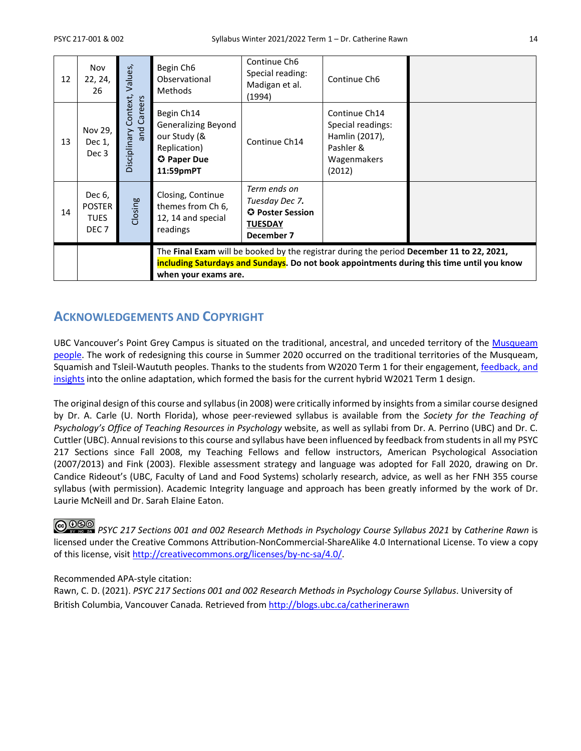| 12 | Nov<br>22, 24,<br>26                                                                                                                                                                                           | Values,                                    | Begin Ch <sub>6</sub><br>Observational<br>Methods                                                    | Continue Ch6<br>Special reading:<br>Madigan et al.<br>(1994)                       | Continue Ch6                                                                               |  |
|----|----------------------------------------------------------------------------------------------------------------------------------------------------------------------------------------------------------------|--------------------------------------------|------------------------------------------------------------------------------------------------------|------------------------------------------------------------------------------------|--------------------------------------------------------------------------------------------|--|
| 13 | Nov 29,<br>Dec 1,<br>Dec 3                                                                                                                                                                                     | Context,<br>Careers<br>and<br>Visciplinary | Begin Ch14<br><b>Generalizing Beyond</b><br>our Study (&<br>Replication)<br>C Paper Due<br>11:59pmPT | Continue Ch14                                                                      | Continue Ch14<br>Special readings:<br>Hamlin (2017),<br>Pashler &<br>Wagenmakers<br>(2012) |  |
| 14 | Dec 6,<br><b>POSTER</b><br><b>TUES</b><br>DEC <sub>7</sub>                                                                                                                                                     | Closing                                    | Closing, Continue<br>themes from Ch 6,<br>12, 14 and special<br>readings                             | Term ends on<br>Tuesday Dec 7.<br>O Poster Session<br><b>TUESDAY</b><br>December 7 |                                                                                            |  |
|    | The Final Exam will be booked by the registrar during the period December 11 to 22, 2021,<br>including Saturdays and Sundays. Do not book appointments during this time until you know<br>when your exams are. |                                            |                                                                                                      |                                                                                    |                                                                                            |  |

### **ACKNOWLEDGEMENTS AND COPYRIGHT**

UBC Vancouver's Point Grey Campus is situated on the traditional, ancestral, and unceded territory of the Musqueam [people.](http://aboriginal.ubc.ca/community-youth/%20musqueam-and-ubc/) The work of redesigning this course in Summer 2020 occurred on the traditional territories of the Musqueam, Squamish and Tsleil-Waututh peoples. Thanks to the students from W2020 Term 1 for their engagement, feedback, and [insights](http://blogs.ubc.ca/catherinerawn/2021/06/22/reflecting-on-research-methods-pre-and-mid-pandemic/) into the online adaptation, which formed the basis for the current hybrid W2021 Term 1 design.

The original design of this course and syllabus (in 2008) were critically informed by insights from a similar course designed by Dr. A. Carle (U. North Florida), whose peer-reviewed syllabus is available from the *Society for the Teaching of Psychology's Office of Teaching Resources in Psychology* website, as well as syllabi from Dr. A. Perrino (UBC) and Dr. C. Cuttler (UBC). Annual revisions to this course and syllabus have been influenced by feedback from students in all my PSYC 217 Sections since Fall 2008, my Teaching Fellows and fellow instructors, American Psychological Association (2007/2013) and Fink (2003). Flexible assessment strategy and language was adopted for Fall 2020, drawing on Dr. Candice Rideout's (UBC, Faculty of Land and Food Systems) scholarly research, advice, as well as her FNH 355 course syllabus (with permission). Academic Integrity language and approach has been greatly informed by the work of Dr. Laurie McNeill and Dr. Sarah Elaine Eaton.

*PSYC 217 Sections 001 and 002 Research Methods in Psychology Course Syllabus 2021* by *Catherine Rawn* is licensed under the Creative Commons Attribution-NonCommercial-ShareAlike 4.0 International License. To view a copy of this license, visi[t http://creativecommons.org/licenses/by-nc-sa/4.0/.](http://creativecommons.org/licenses/by-nc-sa/4.0/)

### Recommended APA-style citation:

Rawn, C. D. (2021). *PSYC 217 Sections 001 and 002 Research Methods in Psychology Course Syllabus*. University of British Columbia, Vancouver Canada*.* Retrieved fro[m http://blogs.ubc.ca/catherinerawn](http://blogs.ubc.ca/catherinerawn)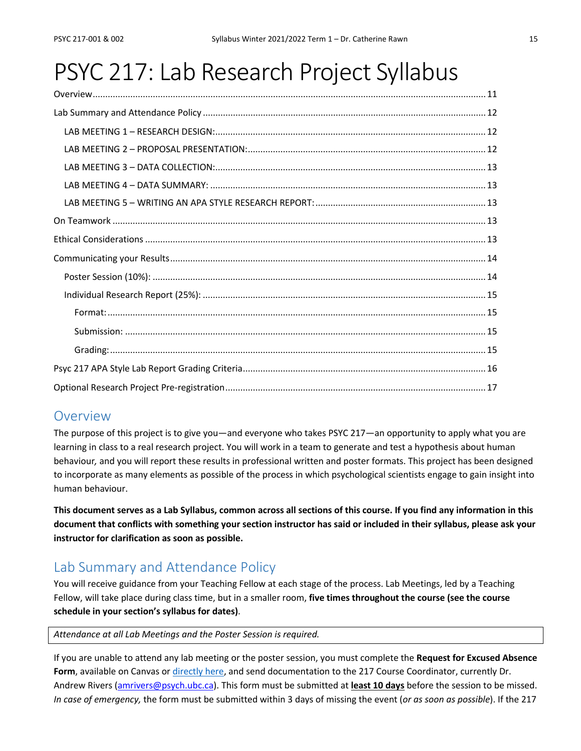# PSYC 217: Lab Research Project Syllabus

### **Overview**

The purpose of this project is to give you—and everyone who takes PSYC 217—an opportunity to apply what you are learning in class to a real research project. You will work in a team to generate and test a hypothesis about human behaviour*,* and you will report these results in professional written and poster formats. This project has been designed to incorporate as many elements as possible of the process in which psychological scientists engage to gain insight into human behaviour.

**This document serves as a Lab Syllabus, common across all sections of this course. If you find any information in this document that conflicts with something your section instructor has said or included in their syllabus, please ask your instructor for clarification as soon as possible.**

### Lab Summary and Attendance Policy

You will receive guidance from your Teaching Fellow at each stage of the process. Lab Meetings, led by a Teaching Fellow, will take place during class time, but in a smaller room, **five times throughout the course (see the course schedule in your section's syllabus for dates)**.

*Attendance at all Lab Meetings and the Poster Session is required.* 

If you are unable to attend any lab meeting or the poster session, you must complete the **Request for Excused Absence Form**, available on Canvas or [directly here,](https://ubcarts.ca1.qualtrics.com/jfe/form/SV_6J8MVu405lMwJi5) and send documentation to the 217 Course Coordinator, currently Dr. Andrew Rivers [\(amrivers@psych.ubc.ca\)](mailto:amrivers@psych.ubc.ca). This form must be submitted at **least 10 days** before the session to be missed. *In case of emergency,* the form must be submitted within 3 days of missing the event (*or as soon as possible*). If the 217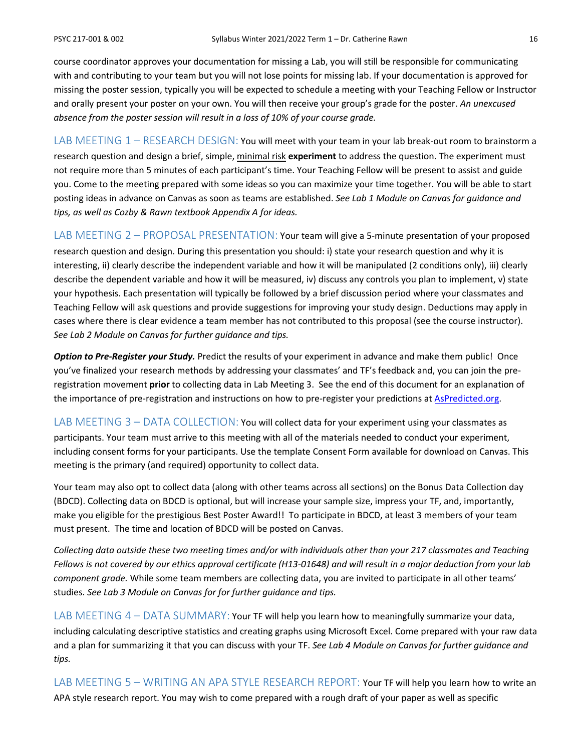course coordinator approves your documentation for missing a Lab, you will still be responsible for communicating with and contributing to your team but you will not lose points for missing lab. If your documentation is approved for missing the poster session, typically you will be expected to schedule a meeting with your Teaching Fellow or Instructor and orally present your poster on your own. You will then receive your group's grade for the poster. *An unexcused absence from the poster session will result in a loss of 10% of your course grade.*

LAB MEETING 1 - RESEARCH DESIGN: You will meet with your team in your lab break-out room to brainstorm a research question and design a brief, simple, minimal risk **experiment** to address the question. The experiment must not require more than 5 minutes of each participant's time. Your Teaching Fellow will be present to assist and guide you. Come to the meeting prepared with some ideas so you can maximize your time together. You will be able to start posting ideas in advance on Canvas as soon as teams are established. *See Lab 1 Module on Canvas for guidance and tips, as well as Cozby & Rawn textbook Appendix A for ideas.*

LAB MEETING 2 - PROPOSAL PRESENTATION: Your team will give a 5-minute presentation of your proposed

research question and design. During this presentation you should: i) state your research question and why it is interesting, ii) clearly describe the independent variable and how it will be manipulated (2 conditions only), iii) clearly describe the dependent variable and how it will be measured, iv) discuss any controls you plan to implement, v) state your hypothesis. Each presentation will typically be followed by a brief discussion period where your classmates and Teaching Fellow will ask questions and provide suggestions for improving your study design. Deductions may apply in cases where there is clear evidence a team member has not contributed to this proposal (see the course instructor). *See Lab 2 Module on Canvas for further guidance and tips.*

*Option to Pre-Register your Study.* Predict the results of your experiment in advance and make them public! Once you've finalized your research methods by addressing your classmates' and TF's feedback and, you can join the preregistration movement **prior** to collecting data in Lab Meeting 3. See the end of this document for an explanation of the importance of pre-registration and instructions on how to pre-register your predictions at [AsPredicted.org.](https://aspredicted.org/)

LAB MEETING 3 - DATA COLLECTION: You will collect data for your experiment using your classmates as participants. Your team must arrive to this meeting with all of the materials needed to conduct your experiment, including consent forms for your participants. Use the template Consent Form available for download on Canvas. This meeting is the primary (and required) opportunity to collect data.

Your team may also opt to collect data (along with other teams across all sections) on the Bonus Data Collection day (BDCD). Collecting data on BDCD is optional, but will increase your sample size, impress your TF, and, importantly, make you eligible for the prestigious Best Poster Award!! To participate in BDCD, at least 3 members of your team must present. The time and location of BDCD will be posted on Canvas.

*Collecting data outside these two meeting times and/or with individuals other than your 217 classmates and Teaching Fellows is not covered by our ethics approval certificate (H13-01648) and will result in a major deduction from your lab component grade.* While some team members are collecting data, you are invited to participate in all other teams' studies. *See Lab 3 Module on Canvas for for further guidance and tips.*

LAB MEETING  $4 - \text{DATA SUMMARY}$ : Your TF will help you learn how to meaningfully summarize your data, including calculating descriptive statistics and creating graphs using Microsoft Excel. Come prepared with your raw data and a plan for summarizing it that you can discuss with your TF. *See Lab 4 Module on Canvas for further guidance and tips.*

LAB MEETING 5 – WRITING AN APA STYLE RESEARCH REPORT: Your TF will help you learn how to write an APA style research report. You may wish to come prepared with a rough draft of your paper as well as specific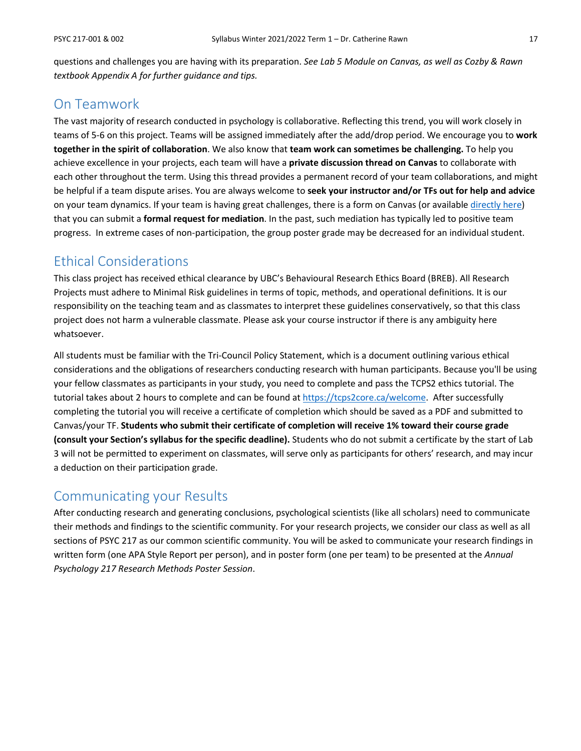questions and challenges you are having with its preparation. *See Lab 5 Module on Canvas, as well as Cozby & Rawn textbook Appendix A for further guidance and tips.*

### On Teamwork

The vast majority of research conducted in psychology is collaborative. Reflecting this trend, you will work closely in teams of 5-6 on this project. Teams will be assigned immediately after the add/drop period. We encourage you to **work together in the spirit of collaboration**. We also know that **team work can sometimes be challenging.** To help you achieve excellence in your projects, each team will have a **private discussion thread on Canvas** to collaborate with each other throughout the term. Using this thread provides a permanent record of your team collaborations, and might be helpful if a team dispute arises. You are always welcome to **seek your instructor and/or TFs out for help and advice**  on your team dynamics. If your team is having great challenges, there is a form on Canvas (or available [directly here\)](https://ubcarts.ca1.qualtrics.com/jfe/form/SV_0StAYZyj8RpYUlL) that you can submit a **formal request for mediation**. In the past, such mediation has typically led to positive team progress. In extreme cases of non-participation, the group poster grade may be decreased for an individual student.

### Ethical Considerations

This class project has received ethical clearance by UBC's Behavioural Research Ethics Board (BREB). All Research Projects must adhere to Minimal Risk guidelines in terms of topic, methods, and operational definitions. It is our responsibility on the teaching team and as classmates to interpret these guidelines conservatively, so that this class project does not harm a vulnerable classmate. Please ask your course instructor if there is any ambiguity here whatsoever.

All students must be familiar with the Tri-Council Policy Statement, which is a document outlining various ethical considerations and the obligations of researchers conducting research with human participants. Because you'll be using your fellow classmates as participants in your study, you need to complete and pass the TCPS2 ethics tutorial. The tutorial takes about 2 hours to complete and can be found at [https://tcps2core.ca/welcome.](https://tcps2core.ca/welcome) After successfully completing the tutorial you will receive a certificate of completion which should be saved as a PDF and submitted to Canvas/your TF. **Students who submit their certificate of completion will receive 1% toward their course grade (consult your Section's syllabus for the specific deadline).** Students who do not submit a certificate by the start of Lab 3 will not be permitted to experiment on classmates, will serve only as participants for others' research, and may incur a deduction on their participation grade.

### Communicating your Results

After conducting research and generating conclusions, psychological scientists (like all scholars) need to communicate their methods and findings to the scientific community. For your research projects, we consider our class as well as all sections of PSYC 217 as our common scientific community. You will be asked to communicate your research findings in written form (one APA Style Report per person), and in poster form (one per team) to be presented at the *Annual Psychology 217 Research Methods Poster Session*.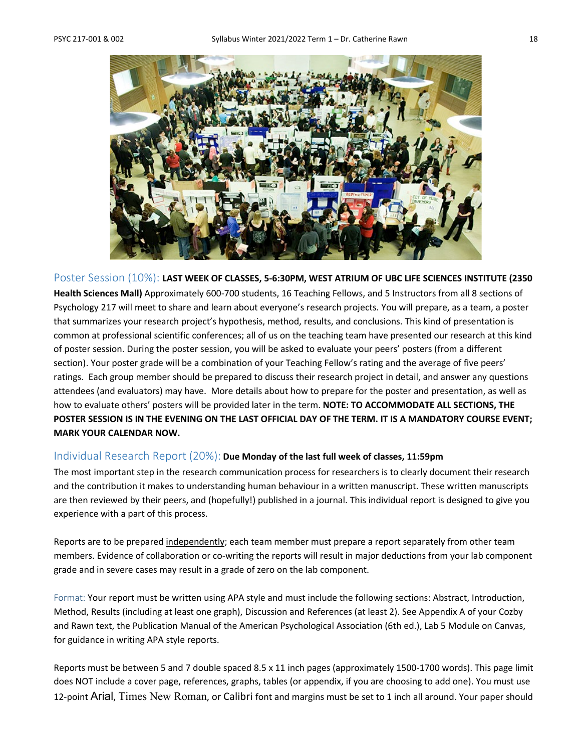

Poster Session (10%): **LAST WEEK OF CLASSES, 5-6:30PM, WEST ATRIUM OF UBC LIFE SCIENCES INSTITUTE (2350 Health Sciences Mall)** Approximately 600-700 students, 16 Teaching Fellows, and 5 Instructors from all 8 sections of Psychology 217 will meet to share and learn about everyone's research projects. You will prepare, as a team, a poster that summarizes your research project's hypothesis, method, results, and conclusions. This kind of presentation is common at professional scientific conferences; all of us on the teaching team have presented our research at this kind of poster session. During the poster session, you will be asked to evaluate your peers' posters (from a different section). Your poster grade will be a combination of your Teaching Fellow's rating and the average of five peers' ratings. Each group member should be prepared to discuss their research project in detail, and answer any questions attendees (and evaluators) may have. More details about how to prepare for the poster and presentation, as well as how to evaluate others' posters will be provided later in the term. **NOTE: TO ACCOMMODATE ALL SECTIONS, THE POSTER SESSION IS IN THE EVENING ON THE LAST OFFICIAL DAY OF THE TERM. IT IS A MANDATORY COURSE EVENT; MARK YOUR CALENDAR NOW.**

### Individual Research Report (20%): **Due Monday of the last full week of classes, 11:59pm**

The most important step in the research communication process for researchers is to clearly document their research and the contribution it makes to understanding human behaviour in a written manuscript. These written manuscripts are then reviewed by their peers, and (hopefully!) published in a journal. This individual report is designed to give you experience with a part of this process.

Reports are to be prepared independently; each team member must prepare a report separately from other team members. Evidence of collaboration or co-writing the reports will result in major deductions from your lab component grade and in severe cases may result in a grade of zero on the lab component.

Format: Your report must be written using APA style and must include the following sections: Abstract, Introduction, Method, Results (including at least one graph), Discussion and References (at least 2). See Appendix A of your Cozby and Rawn text, the Publication Manual of the American Psychological Association (6th ed.), Lab 5 Module on Canvas, for guidance in writing APA style reports.

Reports must be between 5 and 7 double spaced 8.5 x 11 inch pages (approximately 1500-1700 words). This page limit does NOT include a cover page, references, graphs, tables (or appendix, if you are choosing to add one). You must use 12-point Arial, Times New Roman, or Calibri font and margins must be set to 1 inch all around. Your paper should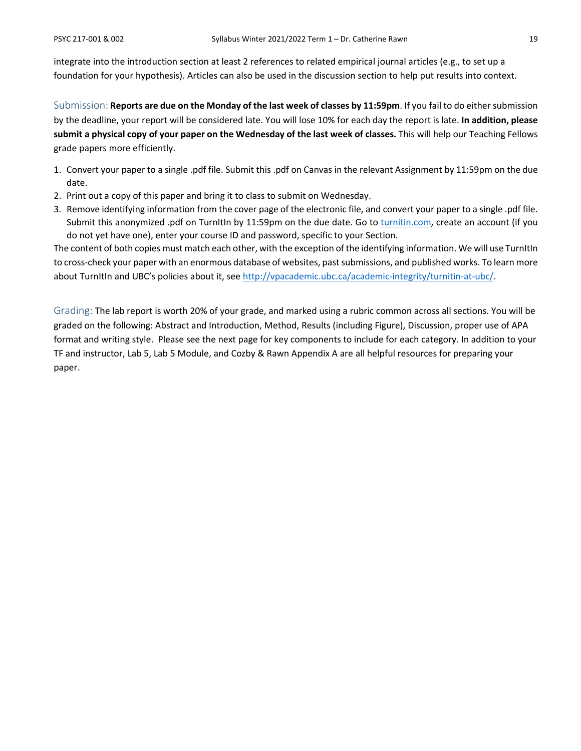integrate into the introduction section at least 2 references to related empirical journal articles (e.g., to set up a foundation for your hypothesis). Articles can also be used in the discussion section to help put results into context.

Submission: **Reports are due on the Monday of the last week of classes by 11:59pm**. If you fail to do either submission by the deadline, your report will be considered late. You will lose 10% for each day the report is late. **In addition, please submit a physical copy of your paper on the Wednesday of the last week of classes.** This will help our Teaching Fellows grade papers more efficiently.

- 1. Convert your paper to a single .pdf file. Submit this .pdf on Canvas in the relevant Assignment by 11:59pm on the due date.
- 2. Print out a copy of this paper and bring it to class to submit on Wednesday.
- 3. Remove identifying information from the cover page of the electronic file, and convert your paper to a single .pdf file. Submit this anonymized .pdf on TurnItIn by 11:59pm on the due date. Go to [turnitin.com,](http://turnitin.com/) create an account (if you do not yet have one), enter your course ID and password, specific to your Section.

The content of both copies must match each other, with the exception of the identifying information. We will use TurnItIn to cross-check your paper with an enormous database of websites, past submissions, and published works. To learn more about TurnItIn and UBC's policies about it, see [http://vpacademic.ubc.ca/academic-integrity/turnitin-at-ubc/.](http://vpacademic.ubc.ca/academic-integrity/turnitin-at-ubc/)

Grading: The lab report is worth 20% of your grade, and marked using a rubric common across all sections. You will be graded on the following: Abstract and Introduction, Method, Results (including Figure), Discussion, proper use of APA format and writing style. Please see the next page for key components to include for each category. In addition to your TF and instructor, Lab 5, Lab 5 Module, and Cozby & Rawn Appendix A are all helpful resources for preparing your paper.